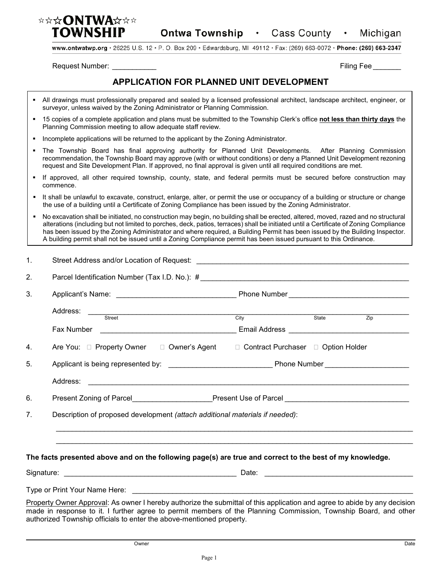

**Ontwa Township · Cass County ·** Michigan

www.ontwatwp.org · 26225 U.S. 12 · P. O. Box 209 · Edwardsburg, MI 49112 · Fax: (269) 663-0072 · Phone: (269) 663-2347

Request Number: \_\_\_\_\_\_\_\_\_\_\_ Filing Fee \_\_\_\_\_\_\_

## **APPLICATION FOR PLANNED UNIT DEVELOPMENT**

- All drawings must professionally prepared and sealed by a licensed professional architect, landscape architect, engineer, or surveyor, unless waived by the Zoning Administrator or Planning Commission.
- 15 copies of a complete application and plans must be submitted to the Township Clerk's office **not less than thirty days** the Planning Commission meeting to allow adequate staff review.
- **Incomplete applications will be returned to the applicant by the Zoning Administrator.**
- The Township Board has final approving authority for Planned Unit Developments. After Planning Commission recommendation, the Township Board may approve (with or without conditions) or deny a Planned Unit Development rezoning request and Site Development Plan. If approved, no final approval is given until all required conditions are met.
- If approved, all other required township, county, state, and federal permits must be secured before construction may commence.
- It shall be unlawful to excavate, construct, enlarge, alter, or permit the use or occupancy of a building or structure or change the use of a building until a Certificate of Zoning Compliance has been issued by the Zoning Administrator.
- No excavation shall be initiated, no construction may begin, no building shall be erected, altered, moved, razed and no structural alterations (including but not limited to porches, deck, patios, terraces) shall be initiated until a Certificate of Zoning Compliance has been issued by the Zoning Administrator and where required, a Building Permit has been issued by the Building Inspector. A building permit shall not be issued until a Zoning Compliance permit has been issued pursuant to this Ordinance.

| 1.                                                                                             |                                                                                                                                                                                                                                                                                                                      |                                                                                                      |                  |  |  |  |
|------------------------------------------------------------------------------------------------|----------------------------------------------------------------------------------------------------------------------------------------------------------------------------------------------------------------------------------------------------------------------------------------------------------------------|------------------------------------------------------------------------------------------------------|------------------|--|--|--|
| 2.                                                                                             |                                                                                                                                                                                                                                                                                                                      |                                                                                                      |                  |  |  |  |
| 3.                                                                                             |                                                                                                                                                                                                                                                                                                                      |                                                                                                      |                  |  |  |  |
|                                                                                                |                                                                                                                                                                                                                                                                                                                      | City State                                                                                           |                  |  |  |  |
|                                                                                                |                                                                                                                                                                                                                                                                                                                      |                                                                                                      | $\overline{Zip}$ |  |  |  |
| 4.                                                                                             | Are You: □ Property Owner □ Owner's Agent                                                                                                                                                                                                                                                                            | □ Contract Purchaser □ Option Holder                                                                 |                  |  |  |  |
| 5.                                                                                             |                                                                                                                                                                                                                                                                                                                      |                                                                                                      |                  |  |  |  |
|                                                                                                |                                                                                                                                                                                                                                                                                                                      |                                                                                                      |                  |  |  |  |
| 6.                                                                                             |                                                                                                                                                                                                                                                                                                                      | Present Zoning of Parcel_____________________Present Use of Parcel__________________________________ |                  |  |  |  |
| 7 <sub>1</sub><br>Description of proposed development (attach additional materials if needed): |                                                                                                                                                                                                                                                                                                                      |                                                                                                      |                  |  |  |  |
|                                                                                                | The facts presented above and on the following page(s) are true and correct to the best of my knowledge.                                                                                                                                                                                                             |                                                                                                      |                  |  |  |  |
|                                                                                                |                                                                                                                                                                                                                                                                                                                      |                                                                                                      |                  |  |  |  |
|                                                                                                |                                                                                                                                                                                                                                                                                                                      |                                                                                                      |                  |  |  |  |
|                                                                                                | Property Owner Approval: As owner I hereby authorize the submittal of this application and agree to abide by any decision<br>made in response to it. I further agree to permit members of the Planning Commission, Township Board, and other<br>authorized Township officials to enter the above-mentioned property. |                                                                                                      |                  |  |  |  |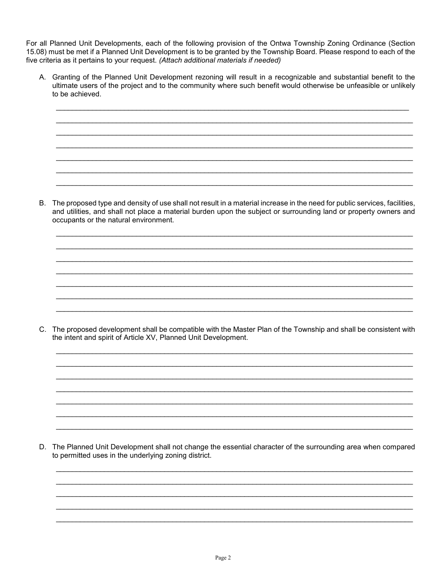For all Planned Unit Developments, each of the following provision of the Ontwa Township Zoning Ordinance (Section 15.08) must be met if a Planned Unit Development is to be granted by the Township Board. Please respond to each of the five criteria as it pertains to your request. (Attach additional materials if needed)

A. Granting of the Planned Unit Development rezoning will result in a recognizable and substantial benefit to the ultimate users of the project and to the community where such benefit would otherwise be unfeasible or unlikely to be achieved.

B. The proposed type and density of use shall not result in a material increase in the need for public services, facilities, and utilities, and shall not place a material burden upon the subject or surrounding land or property owners and occupants or the natural environment.

C. The proposed development shall be compatible with the Master Plan of the Township and shall be consistent with the intent and spirit of Article XV, Planned Unit Development.

D. The Planned Unit Development shall not change the essential character of the surrounding area when compared to permitted uses in the underlying zoning district.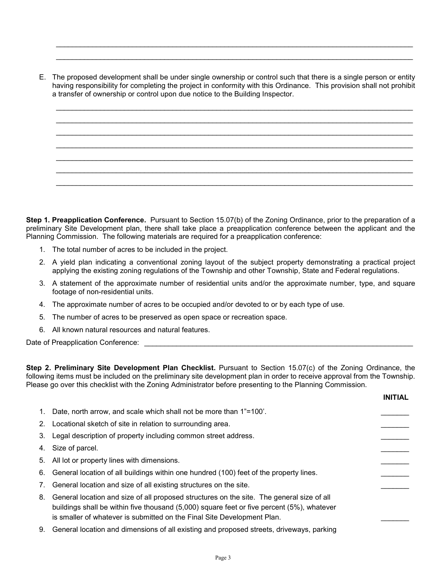E. The proposed development shall be under single ownership or control such that there is a single person or entity having responsibility for completing the project in conformity with this Ordinance. This provision shall not prohibit a transfer of ownership or control upon due notice to the Building Inspector.

\_\_\_\_\_\_\_\_\_\_\_\_\_\_\_\_\_\_\_\_\_\_\_\_\_\_\_\_\_\_\_\_\_\_\_\_\_\_\_\_\_\_\_\_\_\_\_\_\_\_\_\_\_\_\_\_\_\_\_\_\_\_\_\_\_\_\_\_\_\_\_\_\_\_\_\_\_\_\_\_\_\_\_\_\_\_\_\_\_ \_\_\_\_\_\_\_\_\_\_\_\_\_\_\_\_\_\_\_\_\_\_\_\_\_\_\_\_\_\_\_\_\_\_\_\_\_\_\_\_\_\_\_\_\_\_\_\_\_\_\_\_\_\_\_\_\_\_\_\_\_\_\_\_\_\_\_\_\_\_\_\_\_\_\_\_\_\_\_\_\_\_\_\_\_\_\_\_\_ \_\_\_\_\_\_\_\_\_\_\_\_\_\_\_\_\_\_\_\_\_\_\_\_\_\_\_\_\_\_\_\_\_\_\_\_\_\_\_\_\_\_\_\_\_\_\_\_\_\_\_\_\_\_\_\_\_\_\_\_\_\_\_\_\_\_\_\_\_\_\_\_\_\_\_\_\_\_\_\_\_\_\_\_\_\_\_\_\_ \_\_\_\_\_\_\_\_\_\_\_\_\_\_\_\_\_\_\_\_\_\_\_\_\_\_\_\_\_\_\_\_\_\_\_\_\_\_\_\_\_\_\_\_\_\_\_\_\_\_\_\_\_\_\_\_\_\_\_\_\_\_\_\_\_\_\_\_\_\_\_\_\_\_\_\_\_\_\_\_\_\_\_\_\_\_\_\_\_ \_\_\_\_\_\_\_\_\_\_\_\_\_\_\_\_\_\_\_\_\_\_\_\_\_\_\_\_\_\_\_\_\_\_\_\_\_\_\_\_\_\_\_\_\_\_\_\_\_\_\_\_\_\_\_\_\_\_\_\_\_\_\_\_\_\_\_\_\_\_\_\_\_\_\_\_\_\_\_\_\_\_\_\_\_\_\_\_\_ \_\_\_\_\_\_\_\_\_\_\_\_\_\_\_\_\_\_\_\_\_\_\_\_\_\_\_\_\_\_\_\_\_\_\_\_\_\_\_\_\_\_\_\_\_\_\_\_\_\_\_\_\_\_\_\_\_\_\_\_\_\_\_\_\_\_\_\_\_\_\_\_\_\_\_\_\_\_\_\_\_\_\_\_\_\_\_\_\_ \_\_\_\_\_\_\_\_\_\_\_\_\_\_\_\_\_\_\_\_\_\_\_\_\_\_\_\_\_\_\_\_\_\_\_\_\_\_\_\_\_\_\_\_\_\_\_\_\_\_\_\_\_\_\_\_\_\_\_\_\_\_\_\_\_\_\_\_\_\_\_\_\_\_\_\_\_\_\_\_\_\_\_\_\_\_\_\_\_

\_\_\_\_\_\_\_\_\_\_\_\_\_\_\_\_\_\_\_\_\_\_\_\_\_\_\_\_\_\_\_\_\_\_\_\_\_\_\_\_\_\_\_\_\_\_\_\_\_\_\_\_\_\_\_\_\_\_\_\_\_\_\_\_\_\_\_\_\_\_\_\_\_\_\_\_\_\_\_\_\_\_\_\_\_\_\_\_\_ \_\_\_\_\_\_\_\_\_\_\_\_\_\_\_\_\_\_\_\_\_\_\_\_\_\_\_\_\_\_\_\_\_\_\_\_\_\_\_\_\_\_\_\_\_\_\_\_\_\_\_\_\_\_\_\_\_\_\_\_\_\_\_\_\_\_\_\_\_\_\_\_\_\_\_\_\_\_\_\_\_\_\_\_\_\_\_\_\_

**Step 1. Preapplication Conference.** Pursuant to Section 15.07(b) of the Zoning Ordinance, prior to the preparation of a preliminary Site Development plan, there shall take place a preapplication conference between the applicant and the Planning Commission. The following materials are required for a preapplication conference:

- 1. The total number of acres to be included in the project.
- 2. A yield plan indicating a conventional zoning layout of the subject property demonstrating a practical project applying the existing zoning regulations of the Township and other Township, State and Federal regulations.
- 3. A statement of the approximate number of residential units and/or the approximate number, type, and square footage of non-residential units.
- 4. The approximate number of acres to be occupied and/or devoted to or by each type of use.
- 5. The number of acres to be preserved as open space or recreation space.
- 6. All known natural resources and natural features.

Date of Preapplication Conference: \_\_\_\_\_\_\_

**Step 2. Preliminary Site Development Plan Checklist.** Pursuant to Section 15.07(c) of the Zoning Ordinance, the following items must be included on the preliminary site development plan in order to receive approval from the Township. Please go over this checklist with the Zoning Administrator before presenting to the Planning Commission.

**INITIAL**

|    | 1. Date, north arrow, and scale which shall not be more than 1"=100'.                                                                                                                                                                                                 |  |
|----|-----------------------------------------------------------------------------------------------------------------------------------------------------------------------------------------------------------------------------------------------------------------------|--|
|    | 2. Locational sketch of site in relation to surrounding area.                                                                                                                                                                                                         |  |
|    | 3. Legal description of property including common street address.                                                                                                                                                                                                     |  |
|    | 4. Size of parcel.                                                                                                                                                                                                                                                    |  |
|    | 5. All lot or property lines with dimensions.                                                                                                                                                                                                                         |  |
|    | 6. General location of all buildings within one hundred (100) feet of the property lines.                                                                                                                                                                             |  |
| 7. | General location and size of all existing structures on the site.                                                                                                                                                                                                     |  |
|    | 8. General location and size of all proposed structures on the site. The general size of all<br>buildings shall be within five thousand (5,000) square feet or five percent (5%), whatever<br>is smaller of whatever is submitted on the Final Site Development Plan. |  |
|    | 9. General location and dimensions of all existing and proposed streets, driveways, parking                                                                                                                                                                           |  |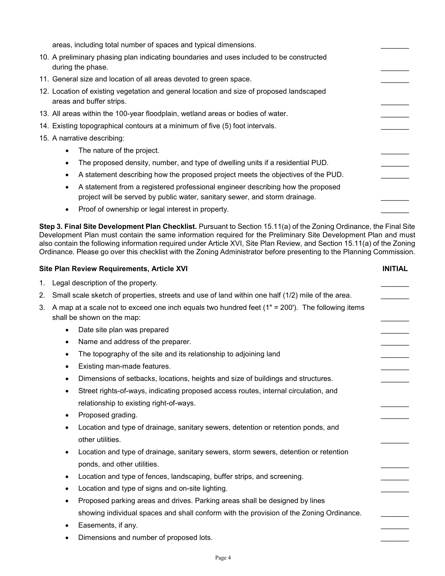areas, including total number of spaces and typical dimensions. 10. A preliminary phasing plan indicating boundaries and uses included to be constructed during the phase. 11. General size and location of all areas devoted to green space. 12. Location of existing vegetation and general location and size of proposed landscaped areas and buffer strips. 13. All areas within the 100-year floodplain, wetland areas or bodies of water. 14. Existing topographical contours at a minimum of five (5) foot intervals. 15. A narrative describing: • The nature of the project. The proposed density, number, and type of dwelling units if a residential PUD. • A statement describing how the proposed project meets the objectives of the PUD. • A statement from a registered professional engineer describing how the proposed project will be served by public water, sanitary sewer, and storm drainage. • Proof of ownership or legal interest in property.

**Step 3. Final Site Development Plan Checklist.** Pursuant to Section 15.11(a) of the Zoning Ordinance, the Final Site Development Plan must contain the same information required for the Preliminary Site Development Plan and must also contain the following information required under Article XVI, Site Plan Review, and Section 15.11(a) of the Zoning Ordinance. Please go over this checklist with the Zoning Administrator before presenting to the Planning Commission.

|    | Site Plan Review Requirements, Article XVI                                                                                        |  |  |
|----|-----------------------------------------------------------------------------------------------------------------------------------|--|--|
| 1. | Legal description of the property.                                                                                                |  |  |
| 2. | Small scale sketch of properties, streets and use of land within one half (1/2) mile of the area.                                 |  |  |
| 3. | A map at a scale not to exceed one inch equals two hundred feet $(1" = 200')$ . The following items<br>shall be shown on the map: |  |  |
|    | Date site plan was prepared<br>$\bullet$                                                                                          |  |  |
|    | Name and address of the preparer.<br>٠                                                                                            |  |  |
|    | The topography of the site and its relationship to adjoining land<br>$\bullet$                                                    |  |  |
|    | Existing man-made features.<br>$\bullet$                                                                                          |  |  |
|    | Dimensions of setbacks, locations, heights and size of buildings and structures.<br>$\bullet$                                     |  |  |
|    | Street rights-of-ways, indicating proposed access routes, internal circulation, and<br>$\bullet$                                  |  |  |
|    | relationship to existing right-of-ways.                                                                                           |  |  |
|    | Proposed grading.<br>٠                                                                                                            |  |  |
|    | Location and type of drainage, sanitary sewers, detention or retention ponds, and<br>$\bullet$<br>other utilities.                |  |  |
|    | Location and type of drainage, sanitary sewers, storm sewers, detention or retention<br>$\bullet$<br>ponds, and other utilities.  |  |  |
|    | Location and type of fences, landscaping, buffer strips, and screening.<br>$\bullet$                                              |  |  |
|    | Location and type of signs and on-site lighting.<br>$\bullet$                                                                     |  |  |
|    | Proposed parking areas and drives. Parking areas shall be designed by lines<br>$\bullet$                                          |  |  |
|    | showing individual spaces and shall conform with the provision of the Zoning Ordinance.                                           |  |  |
|    | Easements, if any.<br>$\bullet$                                                                                                   |  |  |
|    | Dimensions and number of proposed lots.                                                                                           |  |  |